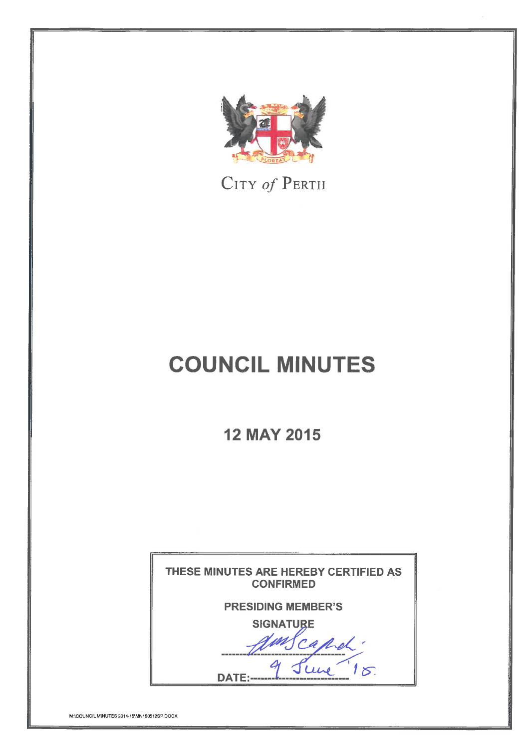

CITY of PERTH

# **COUNCIL MINUTES**

**12 MAY 2015** 

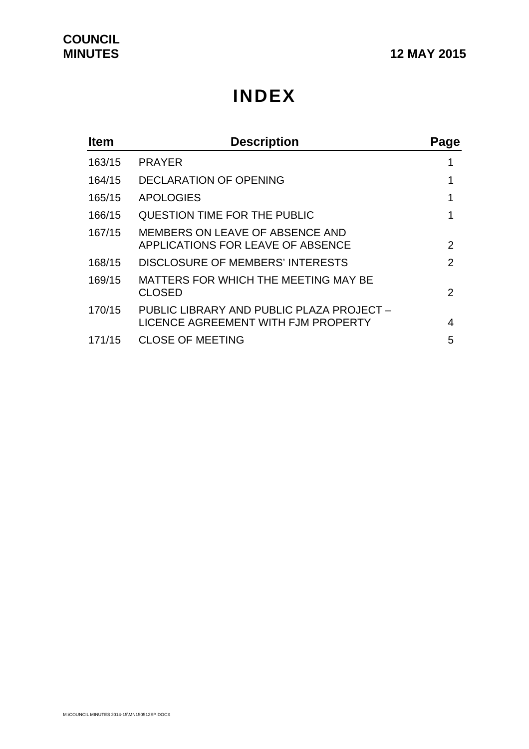# **INDEX**

| <b>Item</b> | <b>Description</b>                                                               | Page           |
|-------------|----------------------------------------------------------------------------------|----------------|
| 163/15      | <b>PRAYER</b>                                                                    |                |
| 164/15      | <b>DECLARATION OF OPENING</b>                                                    |                |
| 165/15      | <b>APOLOGIES</b>                                                                 |                |
| 166/15      | QUESTION TIME FOR THE PUBLIC                                                     |                |
| 167/15      | MEMBERS ON LEAVE OF ABSENCE AND<br>APPLICATIONS FOR LEAVE OF ABSENCE             | $\overline{2}$ |
| 168/15      | DISCLOSURE OF MEMBERS' INTERESTS                                                 | 2              |
| 169/15      | MATTERS FOR WHICH THE MEETING MAY BE<br><b>CLOSED</b>                            | $\mathcal{P}$  |
| 170/15      | PUBLIC LIBRARY AND PUBLIC PLAZA PROJECT -<br>LICENCE AGREEMENT WITH FJM PROPERTY | 4              |
| 171/15      | <b>CLOSE OF MEETING</b>                                                          | 5              |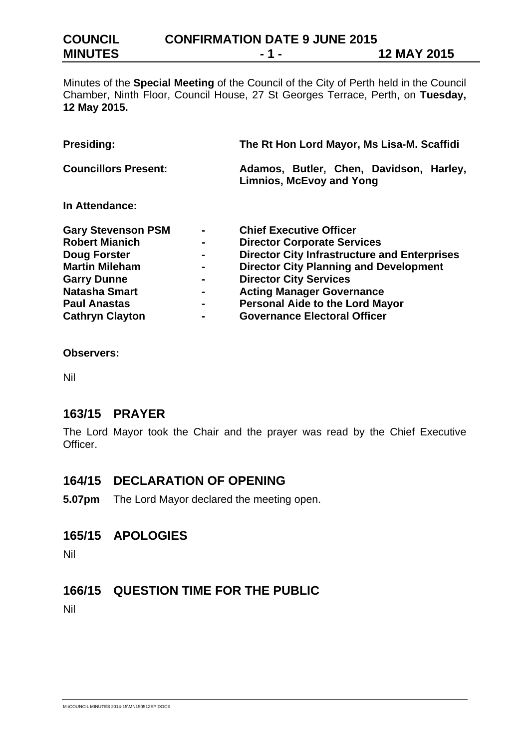**COUNCIL CONFIRMATION DATE 9 JUNE 2015 MINUTES** - 1 - 1 - 12 MAY 2015

Minutes of the **Special Meeting** of the Council of the City of Perth held in the Council Chamber, Ninth Floor, Council House, 27 St Georges Terrace, Perth, on **Tuesday, 12 May 2015.**

| Presiding:                  |  | The Rt Hon Lord Mayor, Ms Lisa-M. Scaffidi                                 |  |
|-----------------------------|--|----------------------------------------------------------------------------|--|
| <b>Councillors Present:</b> |  | Adamos, Butler, Chen, Davidson, Harley,<br><b>Limnios, McEvoy and Yong</b> |  |
| In Attendance:              |  |                                                                            |  |
| <b>Gary Stevenson PSM</b>   |  | <b>Chief Executive Officer</b>                                             |  |
| <b>Robert Mianich</b>       |  | <b>Director Corporate Services</b>                                         |  |
| Doug Forster                |  | <b>Director City Infrastructure and Enterprises</b>                        |  |
| <b>Martin Mileham</b>       |  | <b>Director City Planning and Development</b>                              |  |
| <b>Garry Dunne</b>          |  | <b>Director City Services</b>                                              |  |
| <b>Natasha Smart</b>        |  | <b>Acting Manager Governance</b>                                           |  |
| <b>Paul Anastas</b>         |  | <b>Personal Aide to the Lord Mayor</b>                                     |  |
| <b>Cathryn Clayton</b>      |  | <b>Governance Electoral Officer</b>                                        |  |

**Observers:** 

Nil

# **163/15 PRAYER**

The Lord Mayor took the Chair and the prayer was read by the Chief Executive Officer.

# **164/15 DECLARATION OF OPENING**

**5.07pm** The Lord Mayor declared the meeting open.

# **165/15 APOLOGIES**

Nil

# **166/15 QUESTION TIME FOR THE PUBLIC**

Nil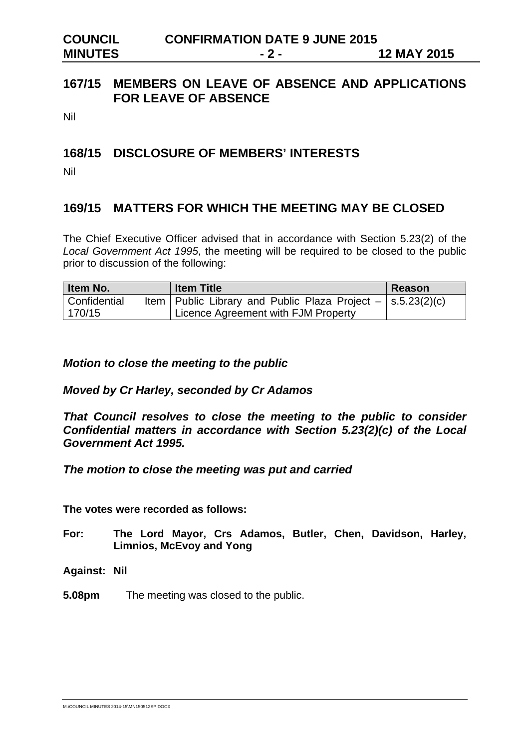| <b>COUNCIL</b> | <b>CONFIRMATION DATE 9 JUNE 2015</b> |                    |
|----------------|--------------------------------------|--------------------|
| <b>MINUTES</b> | $-2-$                                | <b>12 MAY 2015</b> |

# **167/15 MEMBERS ON LEAVE OF ABSENCE AND APPLICATIONS FOR LEAVE OF ABSENCE**

Nil

# **168/15 DISCLOSURE OF MEMBERS' INTERESTS**

Nil

# **169/15 MATTERS FOR WHICH THE MEETING MAY BE CLOSED**

The Chief Executive Officer advised that in accordance with Section 5.23(2) of the *Local Government Act 1995*, the meeting will be required to be closed to the public prior to discussion of the following:

| ltem No.     | <b>Item Title</b>                                                 | Reason |
|--------------|-------------------------------------------------------------------|--------|
| Confidential | Item   Public Library and Public Plaza Project $-$   s.5.23(2)(c) |        |
| 170/15       | Licence Agreement with FJM Property                               |        |

*Motion to close the meeting to the public* 

#### *Moved by Cr Harley, seconded by Cr Adamos*

*That Council resolves to close the meeting to the public to consider Confidential matters in accordance with Section 5.23(2)(c) of the Local Government Act 1995.* 

*The motion to close the meeting was put and carried* 

**The votes were recorded as follows:** 

- **For: The Lord Mayor, Crs Adamos, Butler, Chen, Davidson, Harley, Limnios, McEvoy and Yong**
- **Against: Nil**
- **5.08pm** The meeting was closed to the public.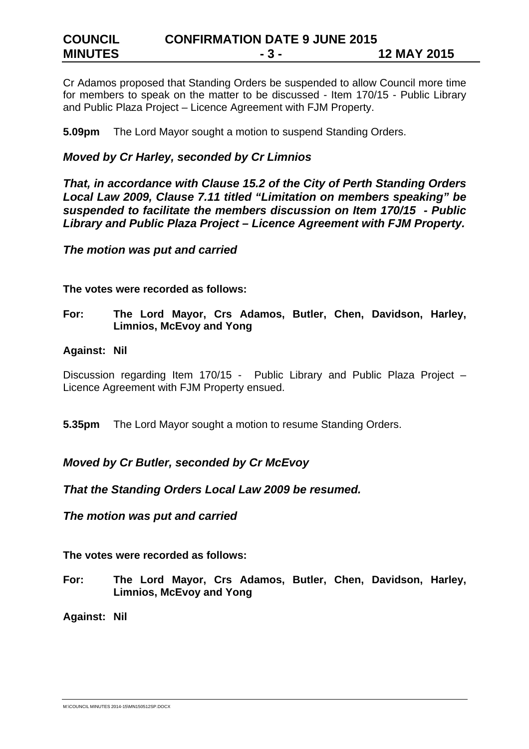Cr Adamos proposed that Standing Orders be suspended to allow Council more time for members to speak on the matter to be discussed - Item 170/15 - Public Library and Public Plaza Project – Licence Agreement with FJM Property.

**5.09pm** The Lord Mayor sought a motion to suspend Standing Orders.

# *Moved by Cr Harley, seconded by Cr Limnios*

*That, in accordance with Clause 15.2 of the City of Perth Standing Orders Local Law 2009, Clause 7.11 titled "Limitation on members speaking" be suspended to facilitate the members discussion on Item 170/15 - Public Library and Public Plaza Project – Licence Agreement with FJM Property.* 

*The motion was put and carried* 

**The votes were recorded as follows:** 

**For: The Lord Mayor, Crs Adamos, Butler, Chen, Davidson, Harley, Limnios, McEvoy and Yong** 

#### **Against: Nil**

Discussion regarding Item 170/15 - Public Library and Public Plaza Project -Licence Agreement with FJM Property ensued.

**5.35pm** The Lord Mayor sought a motion to resume Standing Orders.

# *Moved by Cr Butler, seconded by Cr McEvoy*

*That the Standing Orders Local Law 2009 be resumed.* 

*The motion was put and carried* 

**The votes were recorded as follows:** 

**For: The Lord Mayor, Crs Adamos, Butler, Chen, Davidson, Harley, Limnios, McEvoy and Yong** 

**Against: Nil** 

M:\COUNCIL MINUTES 2014-15\MN150512SP.DOCX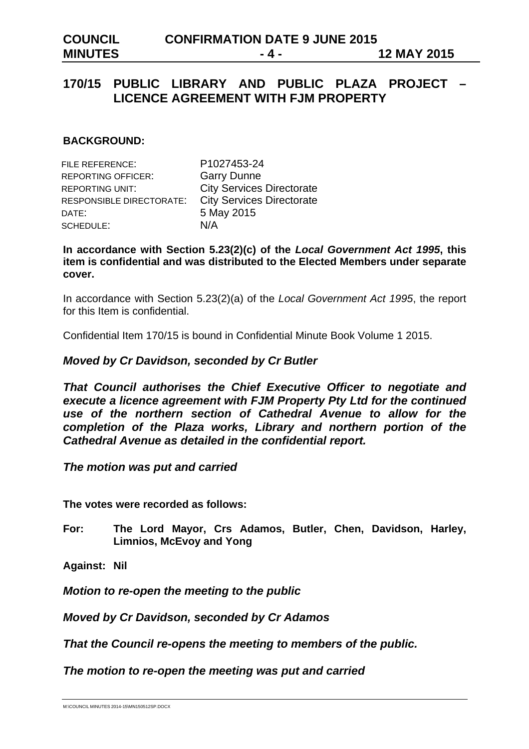# **170/15 PUBLIC LIBRARY AND PUBLIC PLAZA PROJECT – LICENCE AGREEMENT WITH FJM PROPERTY**

#### **BACKGROUND:**

| <b>FILE REFERENCE:</b>    | P1027453-24                      |
|---------------------------|----------------------------------|
| <b>REPORTING OFFICER:</b> | <b>Garry Dunne</b>               |
| <b>REPORTING UNIT:</b>    | <b>City Services Directorate</b> |
| RESPONSIBLE DIRECTORATE:  | <b>City Services Directorate</b> |
| DATE:                     | 5 May 2015                       |
| SCHEDULE:                 | N/A                              |

**In accordance with Section 5.23(2)(c) of the** *Local Government Act 1995***, this item is confidential and was distributed to the Elected Members under separate cover.** 

In accordance with Section 5.23(2)(a) of the *Local Government Act 1995*, the report for this Item is confidential.

Confidential Item 170/15 is bound in Confidential Minute Book Volume 1 2015.

#### *Moved by Cr Davidson, seconded by Cr Butler*

*That Council authorises the Chief Executive Officer to negotiate and execute a licence agreement with FJM Property Pty Ltd for the continued use of the northern section of Cathedral Avenue to allow for the completion of the Plaza works, Library and northern portion of the Cathedral Avenue as detailed in the confidential report.* 

*The motion was put and carried* 

**The votes were recorded as follows:** 

- **For: The Lord Mayor, Crs Adamos, Butler, Chen, Davidson, Harley, Limnios, McEvoy and Yong**
- **Against: Nil**

*Motion to re-open the meeting to the public* 

*Moved by Cr Davidson, seconded by Cr Adamos* 

*That the Council re-opens the meeting to members of the public.* 

*The motion to re-open the meeting was put and carried*